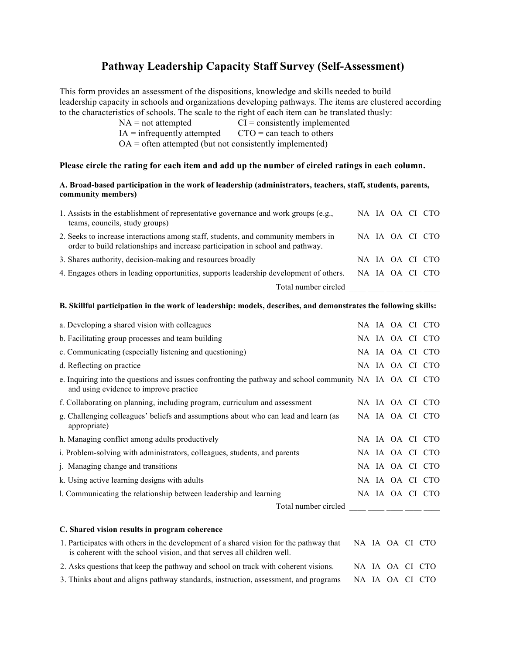## **Pathway Leadership Capacity Staff Survey (Self-Assessment)**

This form provides an assessment of the dispositions, knowledge and skills needed to build leadership capacity in schools and organizations developing pathways. The items are clustered according to the characteristics of schools. The scale to the right of each item can be translated thusly:

 $NA = not attempted$   $CI = consistently implemented$ 

 $IA =$  infrequently attempted  $CTO =$  can teach to others

 $OA =$  often attempted (but not consistently implemented)

## **Please circle the rating for each item and add up the number of circled ratings in each column.**

## **A. Broad-based participation in the work of leadership (administrators, teachers, staff, students, parents, community members)**

| 1. Assists in the establishment of representative governance and work groups (e.g.,<br>teams, councils, study groups)                                               |  |  | NA IA OA CI CTO |
|---------------------------------------------------------------------------------------------------------------------------------------------------------------------|--|--|-----------------|
| 2. Seeks to increase interactions among staff, students, and community members in<br>order to build relationships and increase participation in school and pathway. |  |  | NA IA OA CI CTO |
| 3. Shares authority, decision-making and resources broadly                                                                                                          |  |  | NA IA OA CI CTO |
| 4. Engages others in leading opportunities, supports leadership development of others.                                                                              |  |  | NA IA OA CI CTO |
| Total number circled                                                                                                                                                |  |  |                 |

## **B. Skillful participation in the work of leadership: models, describes, and demonstrates the following skills:**

| a. Developing a shared vision with colleagues                                                                                                                                                                                                                                                                                                                                                                 |                 |  | NA IA OA CI CTO |
|---------------------------------------------------------------------------------------------------------------------------------------------------------------------------------------------------------------------------------------------------------------------------------------------------------------------------------------------------------------------------------------------------------------|-----------------|--|-----------------|
| b. Facilitating group processes and team building                                                                                                                                                                                                                                                                                                                                                             |                 |  | NA IA OA CI CTO |
| c. Communicating (especially listening and questioning)                                                                                                                                                                                                                                                                                                                                                       |                 |  | NA IA OA CI CTO |
| d. Reflecting on practice                                                                                                                                                                                                                                                                                                                                                                                     |                 |  | NA IA OA CI CTO |
| e. Inquiring into the questions and issues confronting the pathway and school community NA IA OA CI CTO<br>and using evidence to improve practice                                                                                                                                                                                                                                                             |                 |  |                 |
| f. Collaborating on planning, including program, curriculum and assessment                                                                                                                                                                                                                                                                                                                                    |                 |  | NA IA OA CI CTO |
| g. Challenging colleagues' beliefs and assumptions about who can lead and learn (as<br>appropriate)                                                                                                                                                                                                                                                                                                           |                 |  | NA IA OA CI CTO |
| h. Managing conflict among adults productively                                                                                                                                                                                                                                                                                                                                                                |                 |  | NA IA OA CI CTO |
| i. Problem-solving with administrators, colleagues, students, and parents                                                                                                                                                                                                                                                                                                                                     |                 |  | NA IA OA CI CTO |
| j. Managing change and transitions                                                                                                                                                                                                                                                                                                                                                                            |                 |  | NA IA OA CI CTO |
| k. Using active learning designs with adults                                                                                                                                                                                                                                                                                                                                                                  |                 |  | NA IA OA CI CTO |
| 1. Communicating the relationship between leadership and learning                                                                                                                                                                                                                                                                                                                                             |                 |  | NA IA OA CI CTO |
| Total number circled $\frac{1}{\sqrt{1-\frac{1}{2}}}\frac{1}{\sqrt{1-\frac{1}{2}}}\frac{1}{\sqrt{1-\frac{1}{2}}}\frac{1}{\sqrt{1-\frac{1}{2}}}\frac{1}{\sqrt{1-\frac{1}{2}}}\frac{1}{\sqrt{1-\frac{1}{2}}}\frac{1}{\sqrt{1-\frac{1}{2}}}\frac{1}{\sqrt{1-\frac{1}{2}}}\frac{1}{\sqrt{1-\frac{1}{2}}}\frac{1}{\sqrt{1-\frac{1}{2}}}\frac{1}{\sqrt{1-\frac{1}{2}}}\frac{1}{\sqrt{1-\frac{1}{2}}}\frac{1}{\sqrt$ |                 |  |                 |
| C. Shared vision results in program coherence                                                                                                                                                                                                                                                                                                                                                                 |                 |  |                 |
| 1. Participates with others in the development of a shared vision for the pathway that<br>is coherent with the school vision, and that serves all children well.                                                                                                                                                                                                                                              | NA IA OA CI CTO |  |                 |
| 2. Asks questions that keep the pathway and school on track with coherent visions.                                                                                                                                                                                                                                                                                                                            | NA IA OA CI CTO |  |                 |
| 3. Thinks about and aligns pathway standards, instruction, assessment, and programs                                                                                                                                                                                                                                                                                                                           | NA IA OA CI CTO |  |                 |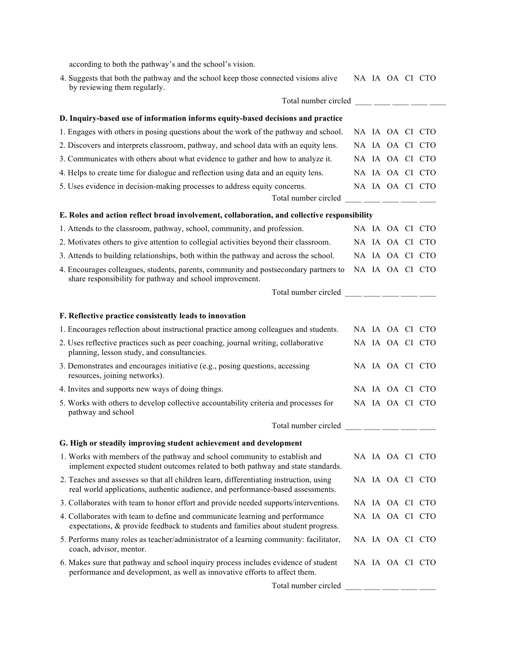according to both the pathway's and the school's vision.

| 4. Suggests that both the pathway and the school keep those connected visions alive |  |  | NA JA OA CI CTO |  |
|-------------------------------------------------------------------------------------|--|--|-----------------|--|
| by reviewing them regularly.                                                        |  |  |                 |  |

| Total number circled ____ ___ ___ ___ ___                                                                                                                                                                                                                                                                                                                                                                      |  |  |                 |
|----------------------------------------------------------------------------------------------------------------------------------------------------------------------------------------------------------------------------------------------------------------------------------------------------------------------------------------------------------------------------------------------------------------|--|--|-----------------|
| D. Inquiry-based use of information informs equity-based decisions and practice                                                                                                                                                                                                                                                                                                                                |  |  |                 |
| 1. Engages with others in posing questions about the work of the pathway and school.                                                                                                                                                                                                                                                                                                                           |  |  | NA IA OA CI CTO |
| 2. Discovers and interprets classroom, pathway, and school data with an equity lens.                                                                                                                                                                                                                                                                                                                           |  |  | NA IA OA CI CTO |
| 3. Communicates with others about what evidence to gather and how to analyze it.                                                                                                                                                                                                                                                                                                                               |  |  | NA IA OA CI CTO |
| 4. Helps to create time for dialogue and reflection using data and an equity lens.                                                                                                                                                                                                                                                                                                                             |  |  | NA IA OA CI CTO |
| 5. Uses evidence in decision-making processes to address equity concerns.                                                                                                                                                                                                                                                                                                                                      |  |  | NA IA OA CI CTO |
| Total number circled ____ ___ ___ ___ ___                                                                                                                                                                                                                                                                                                                                                                      |  |  |                 |
| E. Roles and action reflect broad involvement, collaboration, and collective responsibility                                                                                                                                                                                                                                                                                                                    |  |  |                 |
| 1. Attends to the classroom, pathway, school, community, and profession.                                                                                                                                                                                                                                                                                                                                       |  |  | NA IA OA CI CTO |
| 2. Motivates others to give attention to collegial activities beyond their classroom.                                                                                                                                                                                                                                                                                                                          |  |  | NA IA OA CI CTO |
| 3. Attends to building relationships, both within the pathway and across the school.                                                                                                                                                                                                                                                                                                                           |  |  | NA IA OA CI CTO |
| 4. Encourages colleagues, students, parents, community and postsecondary partners to<br>share responsibility for pathway and school improvement.                                                                                                                                                                                                                                                               |  |  | NA IA OA CI CTO |
| Total number circled $\frac{1}{\sqrt{1-\frac{1}{2}}\cdot\frac{1}{\sqrt{1-\frac{1}{2}}\cdot\frac{1}{\sqrt{1-\frac{1}{2}}\cdot\frac{1}{\sqrt{1-\frac{1}{2}}\cdot\frac{1}{\sqrt{1-\frac{1}{2}}\cdot\frac{1}{\sqrt{1-\frac{1}{2}}\cdot\frac{1}{\sqrt{1-\frac{1}{2}}\cdot\frac{1}{\sqrt{1-\frac{1}{2}}\cdot\frac{1}{\sqrt{1-\frac{1}{2}}\cdot\frac{1}{\sqrt{1-\frac{1}{2}}\cdot\frac{1}{\sqrt{1-\frac{1}{2}}\cdot\$ |  |  |                 |
| F. Reflective practice consistently leads to innovation                                                                                                                                                                                                                                                                                                                                                        |  |  |                 |
| 1. Encourages reflection about instructional practice among colleagues and students.                                                                                                                                                                                                                                                                                                                           |  |  | NA IA OA CI CTO |
| 2. Uses reflective practices such as peer coaching, journal writing, collaborative<br>planning, lesson study, and consultancies.                                                                                                                                                                                                                                                                               |  |  | NA IA OA CI CTO |
| 3. Demonstrates and encourages initiative (e.g., posing questions, accessing<br>resources, joining networks).                                                                                                                                                                                                                                                                                                  |  |  | NA IA OA CI CTO |
| 4. Invites and supports new ways of doing things.                                                                                                                                                                                                                                                                                                                                                              |  |  | NA IA OA CI CTO |
| 5. Works with others to develop collective accountability criteria and processes for<br>pathway and school                                                                                                                                                                                                                                                                                                     |  |  | NA IA OA CI CTO |
| Total number circled $\frac{1}{\sqrt{1-\frac{1}{2}}\cdot\frac{1}{\sqrt{1-\frac{1}{2}}\cdot\frac{1}{\sqrt{1-\frac{1}{2}}\cdot\frac{1}{\sqrt{1-\frac{1}{2}}\cdot\frac{1}{\sqrt{1-\frac{1}{2}}\cdot\frac{1}{\sqrt{1-\frac{1}{2}}\cdot\frac{1}{\sqrt{1-\frac{1}{2}}\cdot\frac{1}{\sqrt{1-\frac{1}{2}}\cdot\frac{1}{\sqrt{1-\frac{1}{2}}\cdot\frac{1}{\sqrt{1-\frac{1}{2}}\cdot\frac{1}{\sqrt{1-\frac{1}{2}}\cdot\$ |  |  |                 |
| G. High or steadily improving student achievement and development                                                                                                                                                                                                                                                                                                                                              |  |  |                 |
| 1. Works with members of the pathway and school community to establish and<br>implement expected student outcomes related to both pathway and state standards.                                                                                                                                                                                                                                                 |  |  | NA IA OA CI CTO |
| 2. Teaches and assesses so that all children learn, differentiating instruction, using<br>real world applications, authentic audience, and performance-based assessments.                                                                                                                                                                                                                                      |  |  | NA IA OA CI CTO |
| 3. Collaborates with team to honor effort and provide needed supports/interventions.                                                                                                                                                                                                                                                                                                                           |  |  | NA IA OA CI CTO |
| 4. Collaborates with team to define and communicate learning and performance<br>expectations, & provide feedback to students and families about student progress.                                                                                                                                                                                                                                              |  |  | NA IA OA CI CTO |
| 5. Performs many roles as teacher/administrator of a learning community: facilitator,<br>coach, advisor, mentor.                                                                                                                                                                                                                                                                                               |  |  | NA IA OA CI CTO |
| 6. Makes sure that pathway and school inquiry process includes evidence of student<br>performance and development, as well as innovative efforts to affect them.                                                                                                                                                                                                                                               |  |  | NA IA OA CI CTO |
| Total number circled                                                                                                                                                                                                                                                                                                                                                                                           |  |  |                 |